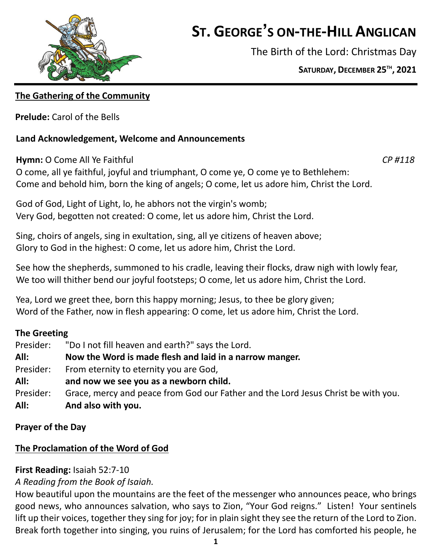

# **ST. GEORGE'S ON-THE-HILL ANGLICAN**

The Birth of the Lord: Christmas Day

**SATURDAY, DECEMBER 25 TH , 2021**

# **The Gathering of the Community**

**Prelude:** Carol of the Bells

# **Land Acknowledgement, Welcome and Announcements**

**Hymn:** O Come All Ye Faithful *CP #118*

O come, all ye faithful, joyful and triumphant, O come ye, O come ye to Bethlehem: Come and behold him, born the king of angels; O come, let us adore him, Christ the Lord.

God of God, Light of Light, lo, he abhors not the virgin's womb; Very God, begotten not created: O come, let us adore him, Christ the Lord.

Sing, choirs of angels, sing in exultation, sing, all ye citizens of heaven above; Glory to God in the highest: O come, let us adore him, Christ the Lord.

See how the shepherds, summoned to his cradle, leaving their flocks, draw nigh with lowly fear, We too will thither bend our joyful footsteps; O come, let us adore him, Christ the Lord.

Yea, Lord we greet thee, born this happy morning; Jesus, to thee be glory given; Word of the Father, now in flesh appearing: O come, let us adore him, Christ the Lord.

# **The Greeting**

| Presider: | "Do I not fill heaven and earth?" says the Lord.                                  |
|-----------|-----------------------------------------------------------------------------------|
| All:      | Now the Word is made flesh and laid in a narrow manger.                           |
| Presider: | From eternity to eternity you are God,                                            |
| All:      | and now we see you as a newborn child.                                            |
| Presider: | Grace, mercy and peace from God our Father and the Lord Jesus Christ be with you. |
| All:      | And also with you.                                                                |

# **Prayer of the Day**

# **The Proclamation of the Word of God**

# **First Reading:** Isaiah 52:7-10

# *A Reading from the Book of Isaiah.*

How beautiful upon the mountains are the feet of the messenger who announces peace, who brings good news, who announces salvation, who says to Zion, "Your God reigns." Listen! Your sentinels lift up their voices, together they sing for joy; for in plain sight they see the return of the Lord to Zion. Break forth together into singing, you ruins of Jerusalem; for the Lord has comforted his people, he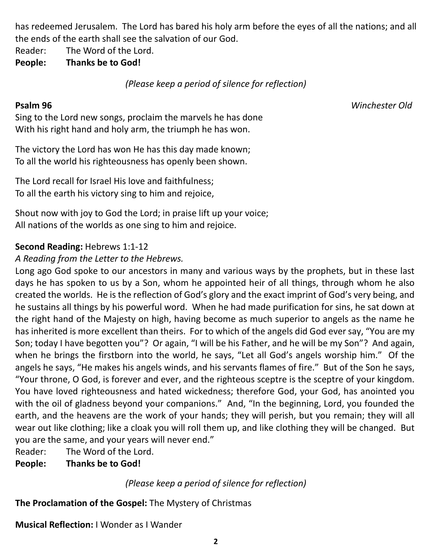has redeemed Jerusalem. The Lord has bared his holy arm before the eyes of all the nations; and all the ends of the earth shall see the salvation of our God.

Reader: The Word of the Lord.

**People: Thanks be to God!**

*(Please keep a period of silence for reflection)*

**Psalm 96** *Winchester Old*

Sing to the Lord new songs, proclaim the marvels he has done With his right hand and holy arm, the triumph he has won.

The victory the Lord has won He has this day made known; To all the world his righteousness has openly been shown.

The Lord recall for Israel His love and faithfulness; To all the earth his victory sing to him and rejoice,

Shout now with joy to God the Lord; in praise lift up your voice; All nations of the worlds as one sing to him and rejoice.

# **Second Reading:** Hebrews 1:1-12

# *A Reading from the Letter to the Hebrews.*

Long ago God spoke to our ancestors in many and various ways by the prophets, but in these last days he has spoken to us by a Son, whom he appointed heir of all things, through whom he also created the worlds. He is the reflection of God's glory and the exact imprint of God's very being, and he sustains all things by his powerful word. When he had made purification for sins, he sat down at the right hand of the Majesty on high, having become as much superior to angels as the name he has inherited is more excellent than theirs. For to which of the angels did God ever say, "You are my Son; today I have begotten you"? Or again, "I will be his Father, and he will be my Son"? And again, when he brings the firstborn into the world, he says, "Let all God's angels worship him." Of the angels he says, "He makes his angels winds, and his servants flames of fire." But of the Son he says, "Your throne, O God, is forever and ever, and the righteous sceptre is the sceptre of your kingdom. You have loved righteousness and hated wickedness; therefore God, your God, has anointed you with the oil of gladness beyond your companions." And, "In the beginning, Lord, you founded the earth, and the heavens are the work of your hands; they will perish, but you remain; they will all wear out like clothing; like a cloak you will roll them up, and like clothing they will be changed. But you are the same, and your years will never end."

Reader: The Word of the Lord.

**People: Thanks be to God!**

*(Please keep a period of silence for reflection)*

**The Proclamation of the Gospel:** The Mystery of Christmas

**Musical Reflection:** I Wonder as I Wander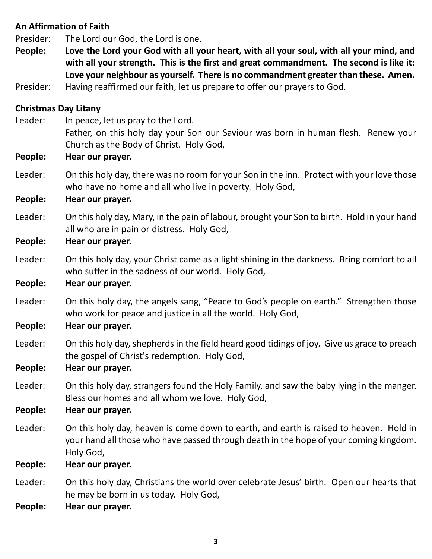# **An Affirmation of Faith**

Presider: The Lord our God, the Lord is one.

- People: Love the Lord your God with all your heart, with all your soul, with all your mind, and **with all your strength. This is the first and great commandment. The second is like it: Love your neighbour as yourself. There is no commandment greater than these. Amen.**
- Presider: Having reaffirmed our faith, let us prepare to offer our prayers to God.

#### **Christmas Day Litany**

Leader: In peace, let us pray to the Lord. Father, on this holy day your Son our Saviour was born in human flesh. Renew your Church as the Body of Christ. Holy God,

#### **People: Hear our prayer.**

Leader: On this holy day, there was no room for your Son in the inn. Protect with your love those who have no home and all who live in poverty. Holy God,

#### **People: Hear our prayer.**

Leader: On this holy day, Mary, in the pain of labour, brought your Son to birth. Hold in your hand all who are in pain or distress. Holy God,

#### **People: Hear our prayer.**

Leader: On this holy day, your Christ came as a light shining in the darkness. Bring comfort to all who suffer in the sadness of our world. Holy God,

#### **People: Hear our prayer.**

Leader: On this holy day, the angels sang, "Peace to God's people on earth." Strengthen those who work for peace and justice in all the world. Holy God,

#### **People: Hear our prayer.**

Leader: On this holy day, shepherds in the field heard good tidings of joy. Give us grace to preach the gospel of Christ's redemption. Holy God,

#### **People: Hear our prayer.**

Leader: On this holy day, strangers found the Holy Family, and saw the baby lying in the manger. Bless our homes and all whom we love. Holy God,

#### **People: Hear our prayer.**

Leader: On this holy day, heaven is come down to earth, and earth is raised to heaven. Hold in your hand all those who have passed through death in the hope of your coming kingdom. Holy God,

#### **People: Hear our prayer.**

Leader: On this holy day, Christians the world over celebrate Jesus' birth. Open our hearts that he may be born in us today. Holy God,

**People: Hear our prayer.**